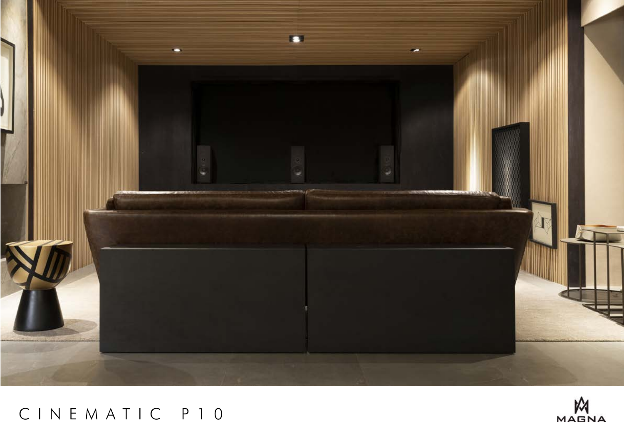

# CINEMATIC P10